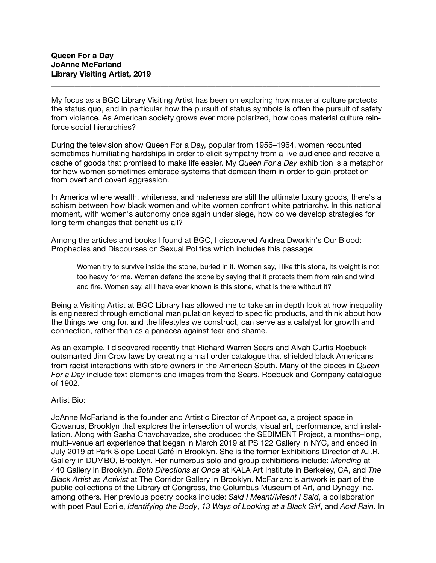My focus as a BGC Library Visiting Artist has been on exploring how material culture protects the status quo, and in particular how the pursuit of status symbols is often the pursuit of safety from violence*.* As American society grows ever more polarized, how does material culture reinforce social hierarchies?

**\_\_\_\_\_\_\_\_\_\_\_\_\_\_\_\_\_\_\_\_\_\_\_\_\_\_\_\_\_\_\_\_\_\_\_\_\_\_\_\_\_\_\_\_\_\_\_\_\_\_\_\_\_\_\_\_\_\_\_\_\_\_\_\_\_\_\_\_\_\_\_\_\_\_\_\_\_\_\_\_\_\_\_\_** 

During the television show Queen For a Day, popular from 1956–1964, women recounted sometimes humiliating hardships in order to elicit sympathy from a live audience and receive a cache of goods that promised to make life easier. My *Queen For a Day* exhibition is a metaphor for how women sometimes embrace systems that demean them in order to gain protection from overt and covert aggression.

In America where wealth, whiteness, and maleness are still the ultimate luxury goods, there's a schism between how black women and white women confront white patriarchy. In this national moment, with women's autonomy once again under siege, how do we develop strategies for long term changes that benefit us all?

Among the articles and books I found at BGC, I discovered Andrea Dworkin's Our Blood: Prophecies and Discourses on Sexual Politics which includes this passage:

Women try to survive inside the stone, buried in it. Women say, I like this stone, its weight is not too heavy for me. Women defend the stone by saying that it protects them from rain and wind and fire. Women say, all I have ever known is this stone, what is there without it?

Being a Visiting Artist at BGC Library has allowed me to take an in depth look at how inequality is engineered through emotional manipulation keyed to specific products, and think about how the things we long for, and the lifestyles we construct, can serve as a catalyst for growth and connection, rather than as a panacea against fear and shame.

As an example, I discovered recently that Richard Warren Sears and Alvah Curtis Roebuck outsmarted Jim Crow laws by creating a mail order catalogue that shielded black Americans from racist interactions with store owners in the American South. Many of the pieces in *Queen For a Day* include text elements and images from the Sears, Roebuck and Company catalogue of 1902.

Artist Bio:

JoAnne McFarland is the founder and Artistic Director of Artpoetica, a project space in Gowanus, Brooklyn that explores the intersection of words, visual art, performance, and installation. Along with Sasha Chavchavadze, she produced the SEDIMENT Project, a months–long, multi–venue art experience that began in March 2019 at PS 122 Gallery in NYC, and ended in July 2019 at Park Slope Local Café in Brooklyn. She is the former Exhibitions Director of A.I.R. Gallery in DUMBO, Brooklyn. Her numerous solo and group exhibitions include: *Mending* at 440 Gallery in Brooklyn, *Both Directions at Once* at KALA Art Institute in Berkeley, CA, and *The Black Artist as Activist* at The Corridor Gallery in Brooklyn. McFarland's artwork is part of the public collections of the Library of Congress, the Columbus Museum of Art, and Dynegy Inc. among others. Her previous poetry books include: *Said I Meant/Meant I Said*, a collaboration with poet Paul Eprile, *Identifying the Body*, *13 Ways of Looking at a Black Girl*, and *Acid Rain*. In